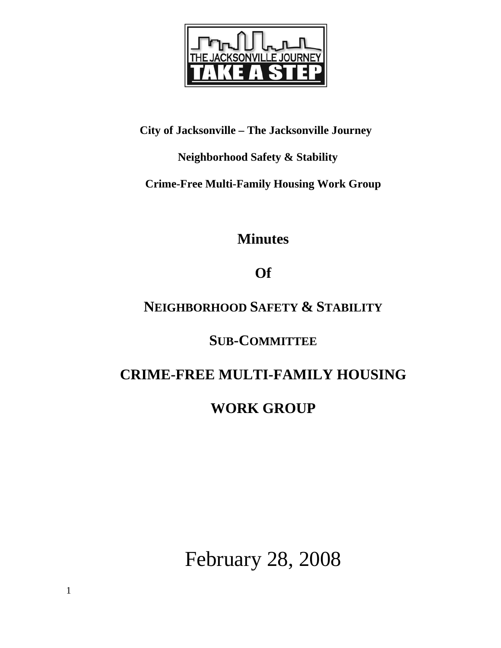

## **City of Jacksonville – The Jacksonville Journey**

## **Neighborhood Safety & Stability**

**Crime-Free Multi-Family Housing Work Group** 

**Minutes** 

# **Of**

# **NEIGHBORHOOD SAFETY & STABILITY**

## **SUB-COMMITTEE**

# **CRIME-FREE MULTI-FAMILY HOUSING**

# **WORK GROUP**

February 28, 2008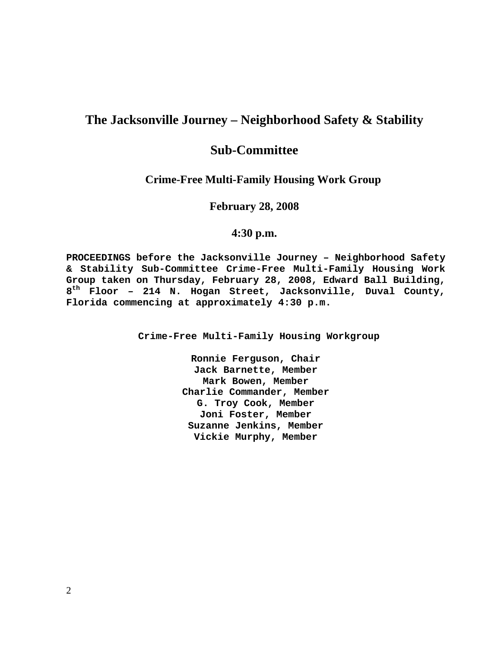## **The Jacksonville Journey – Neighborhood Safety & Stability**

## **Sub-Committee**

#### **Crime-Free Multi-Family Housing Work Group**

**February 28, 2008** 

#### **4:30 p.m.**

**PROCEEDINGS before the Jacksonville Journey – Neighborhood Safety & Stability Sub-Committee Crime-Free Multi-Family Housing Work Group taken on Thursday, February 28, 2008, Edward Ball Building, 8th Floor – 214 N. Hogan Street, Jacksonville, Duval County, Florida commencing at approximately 4:30 p.m.** 

**Crime-Free Multi-Family Housing Workgroup** 

**Ronnie Ferguson, Chair Jack Barnette, Member Mark Bowen, Member Charlie Commander, Member G. Troy Cook, Member Joni Foster, Member Suzanne Jenkins, Member Vickie Murphy, Member**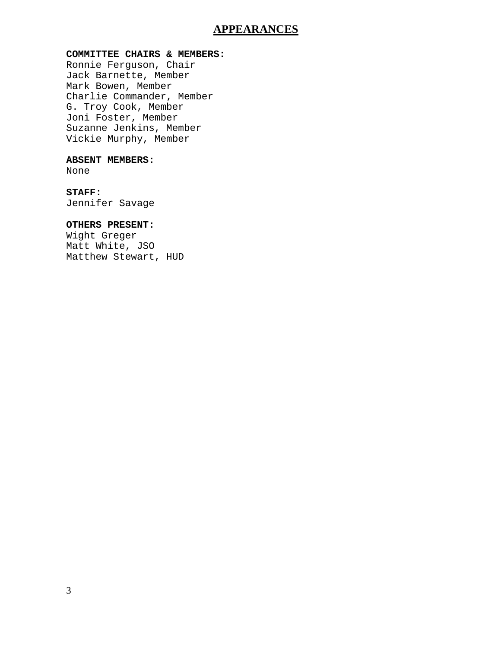### **APPEARANCES**

#### **COMMITTEE CHAIRS & MEMBERS:**

Ronnie Ferguson, Chair Jack Barnette, Member Mark Bowen, Member Charlie Commander, Member G. Troy Cook, Member Joni Foster, Member Suzanne Jenkins, Member Vickie Murphy, Member

#### **ABSENT MEMBERS:**

None

#### **STAFF:**

Jennifer Savage

#### **OTHERS PRESENT:**

Wight Greger Matt White, JSO Matthew Stewart, HUD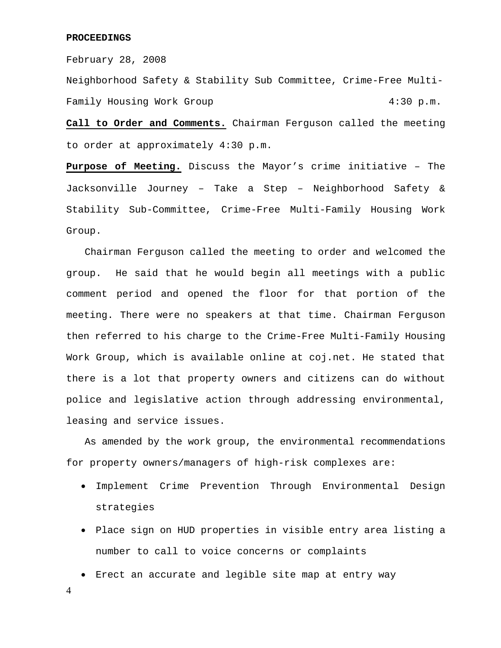#### **PROCEEDINGS**

February 28, 2008

Neighborhood Safety & Stability Sub Committee, Crime-Free Multi-Family Housing Work Group 1997 1997 1998 4:30 p.m.

**Call to Order and Comments.** Chairman Ferguson called the meeting to order at approximately 4:30 p.m.

**Purpose of Meeting.** Discuss the Mayor's crime initiative – The Jacksonville Journey – Take a Step – Neighborhood Safety & Stability Sub-Committee, Crime-Free Multi-Family Housing Work Group.

 Chairman Ferguson called the meeting to order and welcomed the group. He said that he would begin all meetings with a public comment period and opened the floor for that portion of the meeting. There were no speakers at that time. Chairman Ferguson then referred to his charge to the Crime-Free Multi-Family Housing Work Group, which is available online at coj.net. He stated that there is a lot that property owners and citizens can do without police and legislative action through addressing environmental, leasing and service issues.

 As amended by the work group, the environmental recommendations for property owners/managers of high-risk complexes are:

- Implement Crime Prevention Through Environmental Design strategies
- Place sign on HUD properties in visible entry area listing a number to call to voice concerns or complaints
- Erect an accurate and legible site map at entry way

4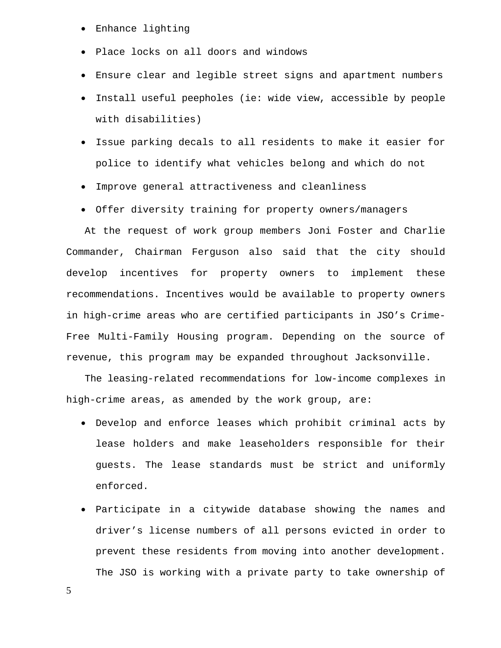- Enhance lighting
- Place locks on all doors and windows
- Ensure clear and legible street signs and apartment numbers
- Install useful peepholes (ie: wide view, accessible by people with disabilities)
- Issue parking decals to all residents to make it easier for police to identify what vehicles belong and which do not
- Improve general attractiveness and cleanliness
- Offer diversity training for property owners/managers

 At the request of work group members Joni Foster and Charlie Commander, Chairman Ferguson also said that the city should develop incentives for property owners to implement these recommendations. Incentives would be available to property owners in high-crime areas who are certified participants in JSO's Crime-Free Multi-Family Housing program. Depending on the source of revenue, this program may be expanded throughout Jacksonville.

 The leasing-related recommendations for low-income complexes in high-crime areas, as amended by the work group, are:

- Develop and enforce leases which prohibit criminal acts by lease holders and make leaseholders responsible for their guests. The lease standards must be strict and uniformly enforced.
- Participate in a citywide database showing the names and driver's license numbers of all persons evicted in order to prevent these residents from moving into another development. The JSO is working with a private party to take ownership of

5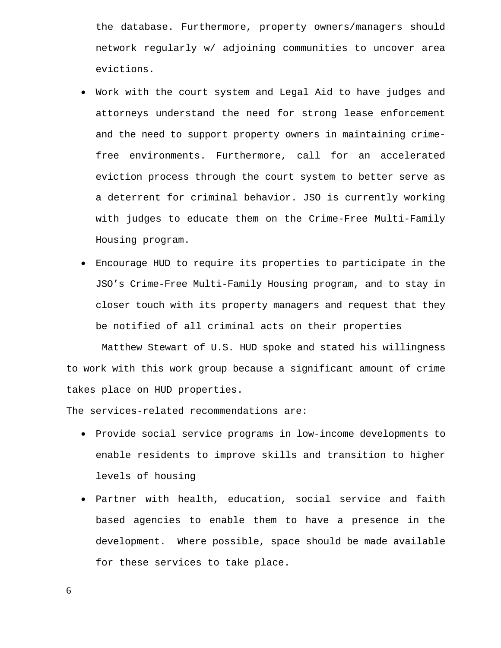the database. Furthermore, property owners/managers should network regularly w/ adjoining communities to uncover area evictions.

- Work with the court system and Legal Aid to have judges and attorneys understand the need for strong lease enforcement and the need to support property owners in maintaining crimefree environments. Furthermore, call for an accelerated eviction process through the court system to better serve as a deterrent for criminal behavior. JSO is currently working with judges to educate them on the Crime-Free Multi-Family Housing program.
- Encourage HUD to require its properties to participate in the JSO's Crime-Free Multi-Family Housing program, and to stay in closer touch with its property managers and request that they be notified of all criminal acts on their properties

 Matthew Stewart of U.S. HUD spoke and stated his willingness to work with this work group because a significant amount of crime takes place on HUD properties.

The services-related recommendations are:

- Provide social service programs in low-income developments to enable residents to improve skills and transition to higher levels of housing
- Partner with health, education, social service and faith based agencies to enable them to have a presence in the development. Where possible, space should be made available for these services to take place.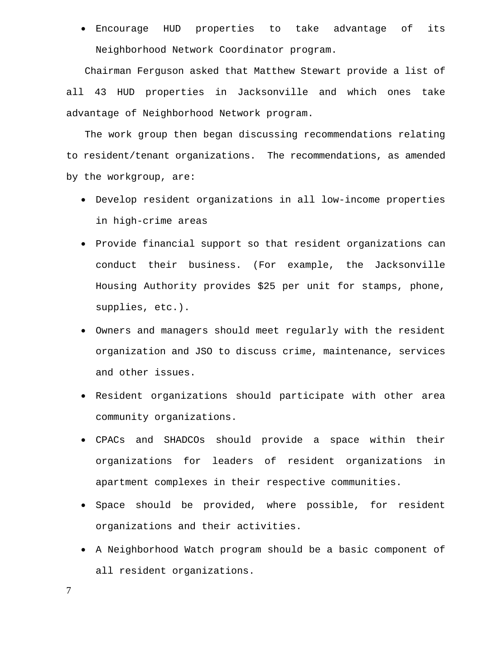• Encourage HUD properties to take advantage of its Neighborhood Network Coordinator program.

 Chairman Ferguson asked that Matthew Stewart provide a list of all 43 HUD properties in Jacksonville and which ones take advantage of Neighborhood Network program.

 The work group then began discussing recommendations relating to resident/tenant organizations. The recommendations, as amended by the workgroup, are:

- Develop resident organizations in all low-income properties in high-crime areas
- Provide financial support so that resident organizations can conduct their business. (For example, the Jacksonville Housing Authority provides \$25 per unit for stamps, phone, supplies, etc.).
- Owners and managers should meet regularly with the resident organization and JSO to discuss crime, maintenance, services and other issues.
- Resident organizations should participate with other area community organizations.
- CPACs and SHADCOs should provide a space within their organizations for leaders of resident organizations in apartment complexes in their respective communities.
- Space should be provided, where possible, for resident organizations and their activities.
- A Neighborhood Watch program should be a basic component of all resident organizations.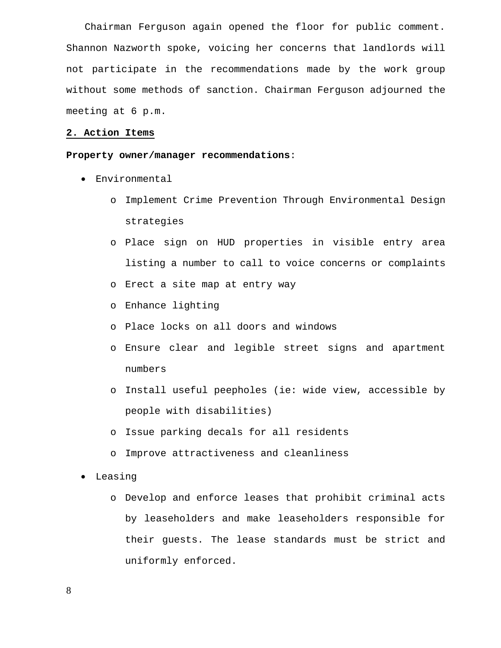Chairman Ferguson again opened the floor for public comment. Shannon Nazworth spoke, voicing her concerns that landlords will not participate in the recommendations made by the work group without some methods of sanction. Chairman Ferguson adjourned the meeting at 6 p.m.

#### **2. Action Items**

#### **Property owner/manager recommendations**:

- Environmental
	- o Implement Crime Prevention Through Environmental Design strategies
	- o Place sign on HUD properties in visible entry area listing a number to call to voice concerns or complaints
	- o Erect a site map at entry way
	- o Enhance lighting
	- o Place locks on all doors and windows
	- o Ensure clear and legible street signs and apartment numbers
	- o Install useful peepholes (ie: wide view, accessible by people with disabilities)
	- o Issue parking decals for all residents
	- o Improve attractiveness and cleanliness
- Leasing
	- o Develop and enforce leases that prohibit criminal acts by leaseholders and make leaseholders responsible for their guests. The lease standards must be strict and uniformly enforced.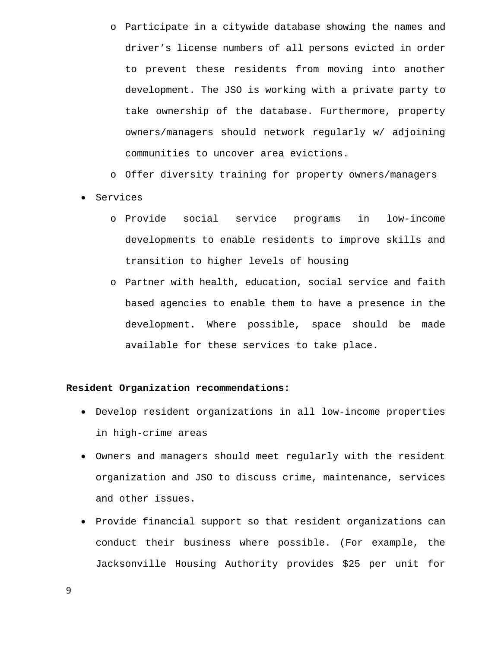o Participate in a citywide database showing the names and driver's license numbers of all persons evicted in order to prevent these residents from moving into another development. The JSO is working with a private party to take ownership of the database. Furthermore, property owners/managers should network regularly w/ adjoining communities to uncover area evictions.

o Offer diversity training for property owners/managers

- Services
	- o Provide social service programs in low-income developments to enable residents to improve skills and transition to higher levels of housing
	- o Partner with health, education, social service and faith based agencies to enable them to have a presence in the development. Where possible, space should be made available for these services to take place.

#### **Resident Organization recommendations:**

- Develop resident organizations in all low-income properties in high-crime areas
- Owners and managers should meet regularly with the resident organization and JSO to discuss crime, maintenance, services and other issues.
- Provide financial support so that resident organizations can conduct their business where possible. (For example, the Jacksonville Housing Authority provides \$25 per unit for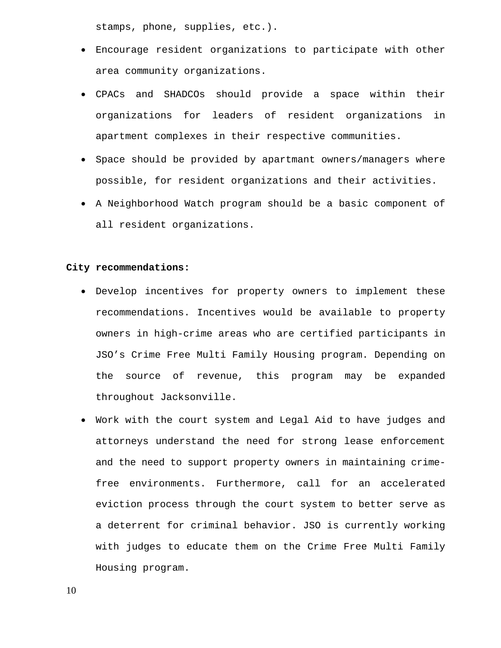stamps, phone, supplies, etc.).

- Encourage resident organizations to participate with other area community organizations.
- CPACs and SHADCOs should provide a space within their organizations for leaders of resident organizations in apartment complexes in their respective communities.
- Space should be provided by apartmant owners/managers where possible, for resident organizations and their activities.
- A Neighborhood Watch program should be a basic component of all resident organizations.

#### **City recommendations:**

- Develop incentives for property owners to implement these recommendations. Incentives would be available to property owners in high-crime areas who are certified participants in JSO's Crime Free Multi Family Housing program. Depending on the source of revenue, this program may be expanded throughout Jacksonville.
- Work with the court system and Legal Aid to have judges and attorneys understand the need for strong lease enforcement and the need to support property owners in maintaining crimefree environments. Furthermore, call for an accelerated eviction process through the court system to better serve as a deterrent for criminal behavior. JSO is currently working with judges to educate them on the Crime Free Multi Family Housing program.